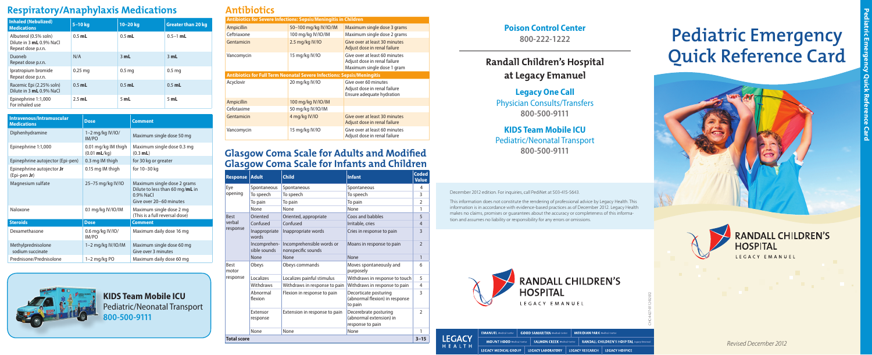| Inhaled (Nebulized)<br><b>Medications</b>                               | $5-10$ kg   | 10-20 kg          | <b>Greater than 20 kg</b> |  |  |
|-------------------------------------------------------------------------|-------------|-------------------|---------------------------|--|--|
| Albuterol (0.5% soln)<br>Dilute in 3 mL 0.9% NaCl<br>Repeat dose p.r.n. | $0.5$ mL    | $0.5$ mL          | $0.5 - 1$ mL              |  |  |
| Duoneb<br>Repeat dose p.r.n.                                            | N/A<br>3 mL |                   | 3 mL                      |  |  |
| Ipratropium bromide<br>Repeat dose p.r.n.                               | $0.25$ mg   | 0.5 <sub>mg</sub> | 0.5 <sub>mg</sub>         |  |  |
| Racemic Epi (2.25% soln)<br>Dilute in 3 mL 0.9% NaCl                    | $0.5$ mL    | $0.5$ mL          | $0.5$ mL                  |  |  |
| Epinephrine 1:1,000<br>For inhaled use                                  | $2.5$ mL    | 5mL               | 5mL                       |  |  |

### **Respiratory/Anaphylaxis Medications**

| Intravenous/Intramuscular<br><b>Medications</b> | <b>Dose</b>                           | <b>Comment</b>                                                                                         |
|-------------------------------------------------|---------------------------------------|--------------------------------------------------------------------------------------------------------|
| Diphenhydramine                                 | 1-2 mg/kg IV/IO/<br>IM/PO             | Maximum single dose 50 mg                                                                              |
| Epinephrine 1:1,000                             | 0.01 mg/kg IM thigh<br>$(0.01$ mL/kg) | Maximum single dose 0.3 mg<br>$(0.3$ mL)                                                               |
| Epinephrine autojector (Epi-pen)                | 0.3 mg IM thigh                       | for 30 kg or greater                                                                                   |
| Epinephrine autojector Jr<br>$(Epi-pen Jr)$     | 0.15 mg IM thigh                      | for 10-30 kg                                                                                           |
| Magnesium sulfate                               | 25-75 mg/kg IV/IO                     | Maximum single dose 2 grams<br>Dilute to less than 60 mg/mL in<br>0.9% NaCl<br>Give over 20-60 minutes |
| Naloxone                                        | 0.1 mg/kg IV/IO/IM                    | Maximum single dose 2 mg<br>(This is a full reversal dose)                                             |
| <b>Steroids</b>                                 | <b>Dose</b>                           | <b>Comment</b>                                                                                         |
| Dexamethasone                                   | 0.6 mg/kg IV/IO/<br>IM/PO             | Maximum daily dose 16 mg                                                                               |
| Methylprednisolone<br>sodium succinate          | $1-2$ mg/kg IV/IO/IM                  | Maximum single dose 60 mg<br>Give over 3 minutes                                                       |
| Prednisone/Prednisolone                         | $1-2$ mg/kg PO                        | Maximum daily dose 60 mg                                                                               |



#### **Antibiotics**

| <b>Antibiotics for Severe Infections: Sepsis/Meningitis in Children</b>        |                       |                                                                                             |  |  |  |  |  |
|--------------------------------------------------------------------------------|-----------------------|---------------------------------------------------------------------------------------------|--|--|--|--|--|
| Ampicillin                                                                     | 50-100 mg/kg IV/IO/IM | Maximum single dose 3 grams                                                                 |  |  |  |  |  |
| Ceftriaxone                                                                    | 100 mg/kg IV/IO/IM    | Maximum single dose 2 grams                                                                 |  |  |  |  |  |
| Gentamicin                                                                     | 2.5 mg/kg IV/IO       | Give over at least 30 minutes<br>Adjust dose in renal failure                               |  |  |  |  |  |
| Vancomycin                                                                     | 15 mg/kg IV/IO        | Give over at least 60 minutes<br>Adjust dose in renal failure<br>Maximum single dose 1 gram |  |  |  |  |  |
| <b>Antibiotics for Full Term Neonatal Severe Infections: Sepsis/Meningitis</b> |                       |                                                                                             |  |  |  |  |  |
| Acyclovir                                                                      | 20 mg/kg IV/IO        | Give over 60 minutes<br>Adjust dose in renal failure<br>Ensure adequate hydration           |  |  |  |  |  |
| Ampicillin                                                                     | 100 mg/kg IV/IO/IM    |                                                                                             |  |  |  |  |  |
| Cefotaxime                                                                     | 50 mg/kg IV/IO/IM     |                                                                                             |  |  |  |  |  |
| Gentamicin                                                                     | 4 mg/kg IV/IO         | Give over at least 30 minutes<br>Adjust dose in renal failure                               |  |  |  |  |  |
| Vancomycin                                                                     | 15 mg/kg IV/IO        | Give over at least 60 minutes<br>Adjust dose in renal failure                               |  |  |  |  |  |

## **Poison Control Center**

**800-222-1222**

**Legacy One Call** Physician Consults/Transfers **800-500-9111**

#### **KIDS Team Mobile ICU** Pediatric/Neonatal Transport **800-500-9111**

# **Randall Children's Hospital at Legacy Emanuel**

December 2012 edition. For inquiries, call PediNet at 503-415-5643.

**EMANUEL** Medic

**LEGACY** HEALTH

This information does not constitute the rendering of professional advice by Legacy Health. This information is in accordance with evidence-based practices as of December 2012. Legacy Health makes no claims, promises or guarantees about the accuracy or completeness of this information and assumes no liability or responsibility for any errors or omissions.



**GOOD SAMARITAN Me** 

LEGACY MEDICAL GROUP | LEGACY LABORATORY | LEGACY RESEARCH |

**MERIDIAN PARK** Medical Cent

**LEGACY HOSPICE** 

#### **Glasgow Coma Scale for Adults and Modified Glasgow Coma Scale for Infants and Children**

| <b>Response</b>                                                                                                                                                                                                                                                                                                                                                                                                                                                                                                                                                                       |                                | <b>Child</b>          | <b>Infant</b>                        | <b>Coded</b><br><b>Value</b> |  |  |  |
|---------------------------------------------------------------------------------------------------------------------------------------------------------------------------------------------------------------------------------------------------------------------------------------------------------------------------------------------------------------------------------------------------------------------------------------------------------------------------------------------------------------------------------------------------------------------------------------|--------------------------------|-----------------------|--------------------------------------|------------------------------|--|--|--|
| Eye                                                                                                                                                                                                                                                                                                                                                                                                                                                                                                                                                                                   |                                | Spontaneous           | Spontaneous                          | 4                            |  |  |  |
| opening                                                                                                                                                                                                                                                                                                                                                                                                                                                                                                                                                                               |                                | To speech             | To speech                            | 3                            |  |  |  |
|                                                                                                                                                                                                                                                                                                                                                                                                                                                                                                                                                                                       |                                | To pain               | To pain                              | $\overline{2}$               |  |  |  |
|                                                                                                                                                                                                                                                                                                                                                                                                                                                                                                                                                                                       |                                | None                  | None                                 | 1                            |  |  |  |
| <b>Best</b>                                                                                                                                                                                                                                                                                                                                                                                                                                                                                                                                                                           |                                | Oriented, appropriate | Coos and babbles                     | 5                            |  |  |  |
| verbal                                                                                                                                                                                                                                                                                                                                                                                                                                                                                                                                                                                |                                | Confused              | Irritable, cries                     | $\overline{4}$               |  |  |  |
|                                                                                                                                                                                                                                                                                                                                                                                                                                                                                                                                                                                       |                                | Inappropriate words   | Cries in response to pain            | 3                            |  |  |  |
|                                                                                                                                                                                                                                                                                                                                                                                                                                                                                                                                                                                       |                                | nonspecific sounds    | Moans in response to pain            | $\overline{2}$               |  |  |  |
|                                                                                                                                                                                                                                                                                                                                                                                                                                                                                                                                                                                       |                                | <b>None</b>           | None                                 | $\mathbf{1}$                 |  |  |  |
| Best<br>motor                                                                                                                                                                                                                                                                                                                                                                                                                                                                                                                                                                         |                                | Obeys commands        | Moves spontaneously and<br>purposely | 6                            |  |  |  |
| <b>Adult</b><br>Spontaneous<br>To speech<br>To pain<br>None<br>Oriented<br>Confused<br>response<br>Inappropriate<br>words<br>Incomprehensible words or<br>Incomprehen-<br>sible sounds<br>None<br>Obeys<br>response<br>Localizes<br>Localizes painful stimulus<br>Withdraws<br>Withdraws in response to pain<br>Abnormal<br>Flexion in response to pain<br>Decorticate posturing<br>flexion<br>to pain<br>Decerebrate posturing<br>Extensor<br>Extension in response to pain<br>(abnormal extension) in<br>response<br>response to pain<br>None<br>None<br>None<br><b>Total score</b> | Withdraws in response to touch | 5                     |                                      |                              |  |  |  |
|                                                                                                                                                                                                                                                                                                                                                                                                                                                                                                                                                                                       |                                |                       | Withdraws in response to pain        | 4                            |  |  |  |
|                                                                                                                                                                                                                                                                                                                                                                                                                                                                                                                                                                                       |                                |                       | (abnormal flexion) in response       | 3                            |  |  |  |
|                                                                                                                                                                                                                                                                                                                                                                                                                                                                                                                                                                                       |                                |                       |                                      | $\overline{2}$               |  |  |  |
|                                                                                                                                                                                                                                                                                                                                                                                                                                                                                                                                                                                       |                                |                       |                                      | 1                            |  |  |  |
|                                                                                                                                                                                                                                                                                                                                                                                                                                                                                                                                                                                       | $3 - 15$                       |                       |                                      |                              |  |  |  |

CHC-4427-0112 ©2012

# **Pediatric Emergency Quick Reference Card**





**KIDS Team Mobile ICU** Pediatric/Neonatal Transport **800-500-9111**